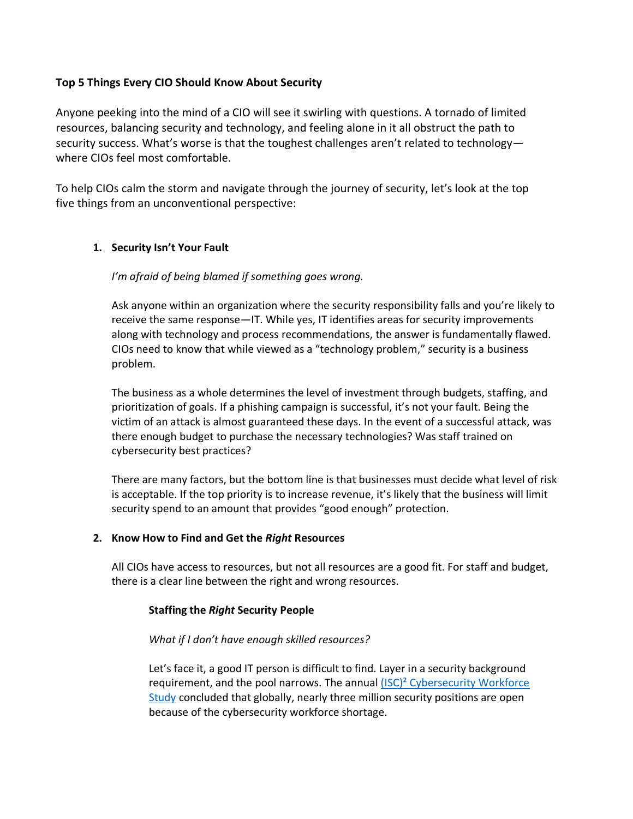# **Top 5 Things Every CIO Should Know About Security**

Anyone peeking into the mind of a CIO will see it swirling with questions. A tornado of limited resources, balancing security and technology, and feeling alone in it all obstruct the path to security success. What's worse is that the toughest challenges aren't related to technology where CIOs feel most comfortable.

To help CIOs calm the storm and navigate through the journey of security, let's look at the top five things from an unconventional perspective:

# **1. Security Isn't Your Fault**

# *I'm afraid of being blamed if something goes wrong.*

Ask anyone within an organization where the security responsibility falls and you're likely to receive the same response—IT. While yes, IT identifies areas for security improvements along with technology and process recommendations, the answer is fundamentally flawed. CIOs need to know that while viewed as a "technology problem," security is a business problem.

The business as a whole determines the level of investment through budgets, staffing, and prioritization of goals. If a phishing campaign is successful, it's not your fault. Being the victim of an attack is almost guaranteed these days. In the event of a successful attack, was there enough budget to purchase the necessary technologies? Was staff trained on cybersecurity best practices?

There are many factors, but the bottom line is that businesses must decide what level of risk is acceptable. If the top priority is to increase revenue, it's likely that the business will limit security spend to an amount that provides "good enough" protection.

# **2. Know How to Find and Get the** *Right* **Resources**

All CIOs have access to resources, but not all resources are a good fit. For staff and budget, there is a clear line between the right and wrong resources.

#### **Staffing the** *Right* **Security People**

#### *What if I don't have enough skilled resources?*

Let's face it, a good IT person is difficult to find. Layer in a security background requirement, and the pool narrows. The annual (ISC)<sup>2</sup> Cybersecurity Workforce [Study](https://www.isc2.org/Research/2019-Cybersecurity-Workforce-Study) concluded that globally, nearly three million security positions are open because of the cybersecurity workforce shortage.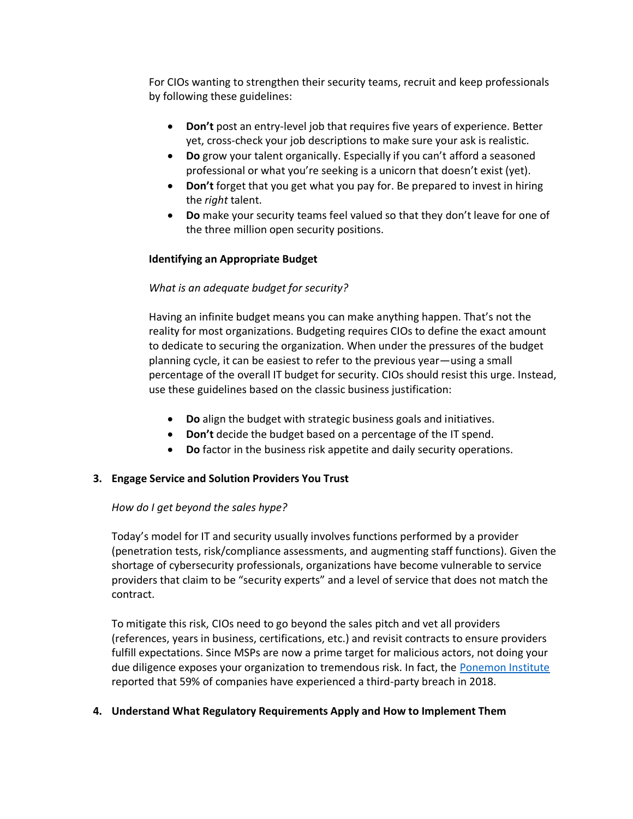For CIOs wanting to strengthen their security teams, recruit and keep professionals by following these guidelines:

- **Don't** post an entry-level job that requires five years of experience. Better yet, cross-check your job descriptions to make sure your ask is realistic.
- **Do** grow your talent organically. Especially if you can't afford a seasoned professional or what you're seeking is a unicorn that doesn't exist (yet).
- **Don't** forget that you get what you pay for. Be prepared to invest in hiring the *right* talent.
- **Do** make your security teams feel valued so that they don't leave for one of the three million open security positions.

# **Identifying an Appropriate Budget**

# *What is an adequate budget for security?*

Having an infinite budget means you can make anything happen. That's not the reality for most organizations. Budgeting requires CIOs to define the exact amount to dedicate to securing the organization. When under the pressures of the budget planning cycle, it can be easiest to refer to the previous year—using a small percentage of the overall IT budget for security. CIOs should resist this urge. Instead, use these guidelines based on the classic business justification:

- **Do** align the budget with strategic business goals and initiatives.
- **Don't** decide the budget based on a percentage of the IT spend.
- **Do** factor in the business risk appetite and daily security operations.

# **3. Engage Service and Solution Providers You Trust**

# *How do I get beyond the sales hype?*

Today's model for IT and security usually involves functions performed by a provider (penetration tests, risk/compliance assessments, and augmenting staff functions). Given the shortage of cybersecurity professionals, organizations have become vulnerable to service providers that claim to be "security experts" and a level of service that does not match the contract.

To mitigate this risk, CIOs need to go beyond the sales pitch and vet all providers (references, years in business, certifications, etc.) and revisit contracts to ensure providers fulfill expectations. Since MSPs are now a prime target for malicious actors, not doing your due diligence exposes your organization to tremendous risk. In fact, the [Ponemon Institute](https://www.ponemon.org/library/data-risk-in-the-third-party-ecosystem) reported that 59% of companies have experienced a third-party breach in 2018.

# **4. Understand What Regulatory Requirements Apply and How to Implement Them**